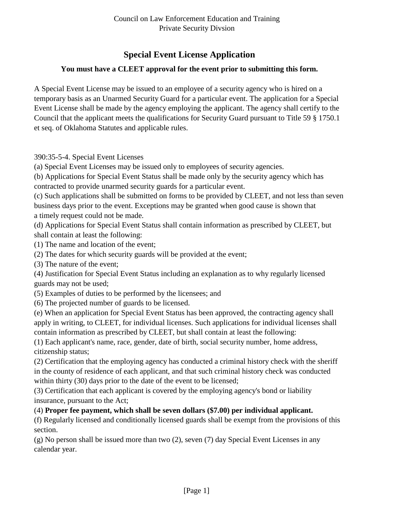### **Special Event License Application**

### **You must have a CLEET approval for the event prior to submitting this form.**

A Special Event License may be issued to an employee of a security agency who is hired on a temporary basis as an Unarmed Security Guard for a particular event. The application for a Special Event License shall be made by the agency employing the applicant. The agency shall certify to the Council that the applicant meets the qualifications for Security Guard pursuant to Title 59 § 1750.1 et seq. of Oklahoma Statutes and applicable rules.

390:35-5-4. Special Event Licenses

(a) Special Event Licenses may be issued only to employees of security agencies.

(b) Applications for Special Event Status shall be made only by the security agency which has contracted to provide unarmed security guards for a particular event.

(c) Such applications shall be submitted on forms to be provided by CLEET, and not less than seven business days prior to the event. Exceptions may be granted when good cause is shown that a timely request could not be made.

(d) Applications for Special Event Status shall contain information as prescribed by CLEET, but shall contain at least the following:

(1) The name and location of the event;

(2) The dates for which security guards will be provided at the event;

(3) The nature of the event;

(4) Justification for Special Event Status including an explanation as to why regularly licensed guards may not be used;

(5) Examples of duties to be performed by the licensees; and

(6) The projected number of guards to be licensed.

(e) When an application for Special Event Status has been approved, the contracting agency shall apply in writing, to CLEET, for individual licenses. Such applications for individual licenses shall contain information as prescribed by CLEET, but shall contain at least the following:

(1) Each applicant's name, race, gender, date of birth, social security number, home address, citizenship status;

(2) Certification that the employing agency has conducted a criminal history check with the sheriff in the county of residence of each applicant, and that such criminal history check was conducted within thirty (30) days prior to the date of the event to be licensed;

(3) Certification that each applicant is covered by the employing agency's bond or liability insurance, pursuant to the Act;

### (4) **Proper fee payment, which shall be seven dollars (\$7.00) per individual applicant.**

(f) Regularly licensed and conditionally licensed guards shall be exempt from the provisions of this section.

(g) No person shall be issued more than two (2), seven (7) day Special Event Licenses in any calendar year.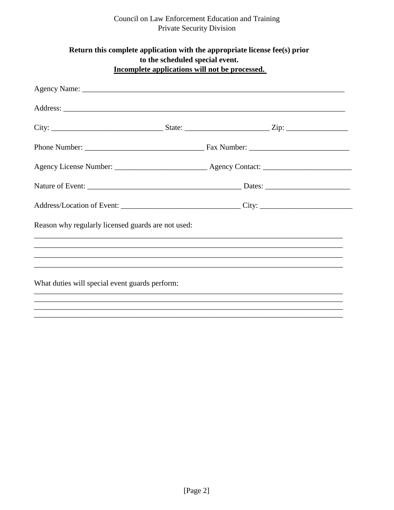# Council on Law Enforcement Education and Training<br>Private Security Division

| Return this complete application with the appropriate license fee(s) prior<br>to the scheduled special event.<br>Incomplete applications will not be processed. |  |  |  |  |  |  |  |  |
|-----------------------------------------------------------------------------------------------------------------------------------------------------------------|--|--|--|--|--|--|--|--|
|                                                                                                                                                                 |  |  |  |  |  |  |  |  |
|                                                                                                                                                                 |  |  |  |  |  |  |  |  |
|                                                                                                                                                                 |  |  |  |  |  |  |  |  |
|                                                                                                                                                                 |  |  |  |  |  |  |  |  |
|                                                                                                                                                                 |  |  |  |  |  |  |  |  |
|                                                                                                                                                                 |  |  |  |  |  |  |  |  |
|                                                                                                                                                                 |  |  |  |  |  |  |  |  |
| Reason why regularly licensed guards are not used:                                                                                                              |  |  |  |  |  |  |  |  |
|                                                                                                                                                                 |  |  |  |  |  |  |  |  |
|                                                                                                                                                                 |  |  |  |  |  |  |  |  |
| What duties will special event guards perform:                                                                                                                  |  |  |  |  |  |  |  |  |
|                                                                                                                                                                 |  |  |  |  |  |  |  |  |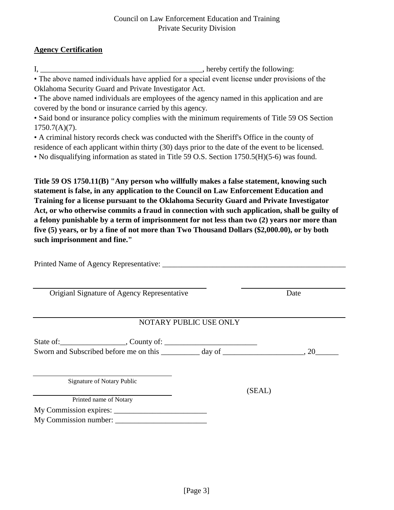### **Agency Certification**

I, \_\_\_\_\_\_\_\_\_\_\_\_\_\_\_\_\_\_\_\_\_\_\_\_\_\_\_\_\_\_\_\_\_\_\_\_\_\_\_\_\_\_, hereby certify the following:

• The above named individuals have applied for a special event license under provisions of the Oklahoma Security Guard and Private Investigator Act.

• The above named individuals are employees of the agency named in this application and are covered by the bond or insurance carried by this agency.

• Said bond or insurance policy complies with the minimum requirements of Title 59 OS Section 1750.7(A)(7).

• A criminal history records check was conducted with the Sheriff's Office in the county of residence of each applicant within thirty (30) days prior to the date of the event to be licensed. • No disqualifying information as stated in Title 59 O.S. Section 1750.5(H)(5-6) was found.

**Title 59 OS 1750.11(B) "Any person who willfully makes a false statement, knowing such statement is false, in any application to the Council on Law Enforcement Education and Training for a license pursuant to the Oklahoma Security Guard and Private Investigator Act, or who otherwise commits a fraud in connection with such application, shall be guilty of a felony punishable by a term of imprisonment for not less than two (2) years nor more than five (5) years, or by a fine of not more than Two Thousand Dollars (\$2,000.00), or by both such imprisonment and fine."**

| Origianl Signature of Agency Representative |  | Date   |  |  |  |  |  |  |
|---------------------------------------------|--|--------|--|--|--|--|--|--|
| NOTARY PUBLIC USE ONLY                      |  |        |  |  |  |  |  |  |
|                                             |  |        |  |  |  |  |  |  |
| <b>Signature of Notary Public</b>           |  | (SEAL) |  |  |  |  |  |  |
| Printed name of Notary                      |  |        |  |  |  |  |  |  |
|                                             |  |        |  |  |  |  |  |  |
| My Commission number:                       |  |        |  |  |  |  |  |  |